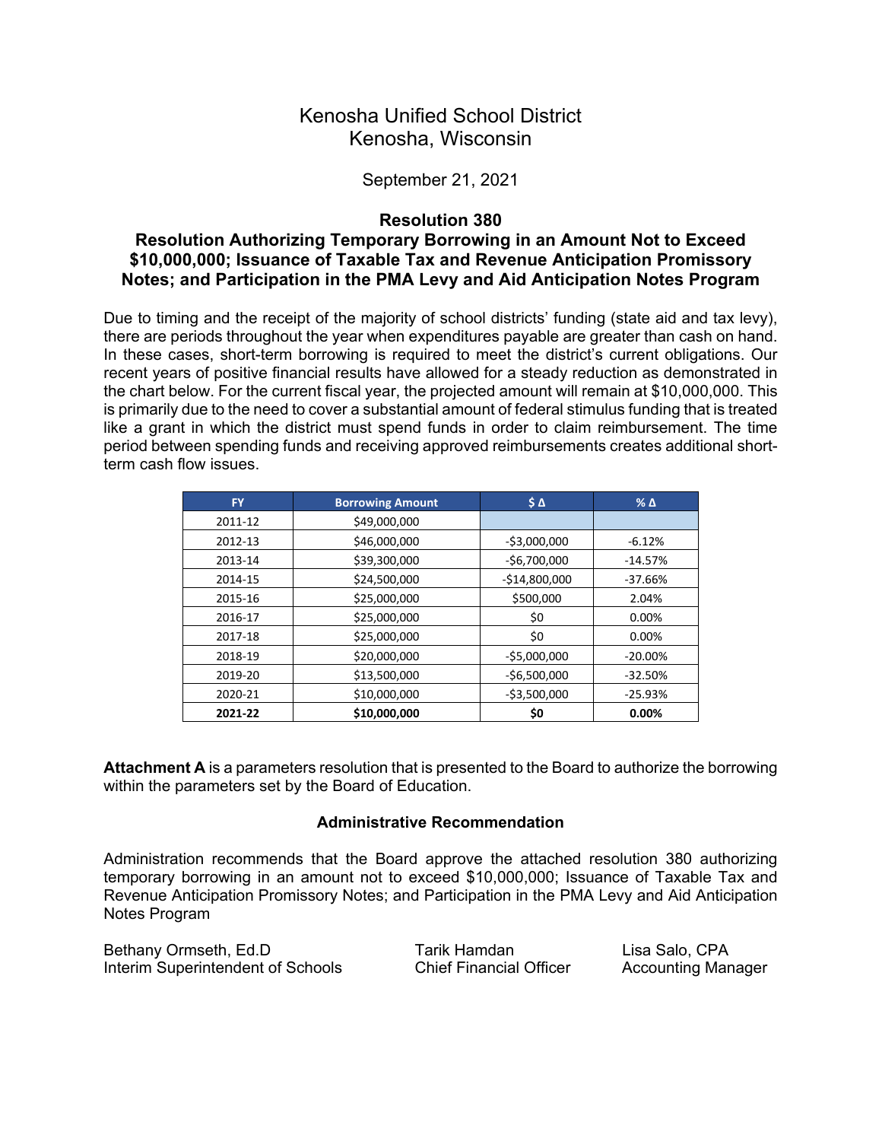## Kenosha Unified School District Kenosha, Wisconsin

#### September 21, 2021

#### **Resolution 380**

### **Resolution Authorizing Temporary Borrowing in an Amount Not to Exceed \$10,000,000; Issuance of Taxable Tax and Revenue Anticipation Promissory Notes; and Participation in the PMA Levy and Aid Anticipation Notes Program**

Due to timing and the receipt of the majority of school districts' funding (state aid and tax levy), there are periods throughout the year when expenditures payable are greater than cash on hand. In these cases, short-term borrowing is required to meet the district's current obligations. Our recent years of positive financial results have allowed for a steady reduction as demonstrated in the chart below. For the current fiscal year, the projected amount will remain at \$10,000,000. This is primarily due to the need to cover a substantial amount of federal stimulus funding that is treated like a grant in which the district must spend funds in order to claim reimbursement. The time period between spending funds and receiving approved reimbursements creates additional shortterm cash flow issues.

| <b>FY</b> | <b>Borrowing Amount</b> | $\mathsf{S} \, \mathsf{\Delta}$ | $%$ $\Delta$ |
|-----------|-------------------------|---------------------------------|--------------|
| 2011-12   | \$49,000,000            |                                 |              |
| 2012-13   | \$46,000,000            | $-53,000,000$                   | $-6.12%$     |
| 2013-14   | \$39,300,000            | $-56,700,000$                   | $-14.57%$    |
| 2014-15   | \$24,500,000            | $-$14,800,000$                  | $-37.66%$    |
| 2015-16   | \$25,000,000            | \$500,000                       | 2.04%        |
| 2016-17   | \$25,000,000            | \$0                             | 0.00%        |
| 2017-18   | \$25,000,000            | \$0                             | 0.00%        |
| 2018-19   | \$20,000,000            | $-$5,000,000$                   | $-20.00\%$   |
| 2019-20   | \$13,500,000            | $-56,500,000$                   | $-32.50%$    |
| 2020-21   | \$10,000,000            | $-53,500,000$                   | $-25.93%$    |
| 2021-22   | \$10,000,000            | \$0                             | 0.00%        |

**Attachment A** is a parameters resolution that is presented to the Board to authorize the borrowing within the parameters set by the Board of Education.

#### **Administrative Recommendation**

Administration recommends that the Board approve the attached resolution 380 authorizing temporary borrowing in an amount not to exceed \$10,000,000; Issuance of Taxable Tax and Revenue Anticipation Promissory Notes; and Participation in the PMA Levy and Aid Anticipation Notes Program

| Bethany Ormseth, Ed.D             | Tarik Hamdan                   | Lisa Salo, CPA            |
|-----------------------------------|--------------------------------|---------------------------|
| Interim Superintendent of Schools | <b>Chief Financial Officer</b> | <b>Accounting Manager</b> |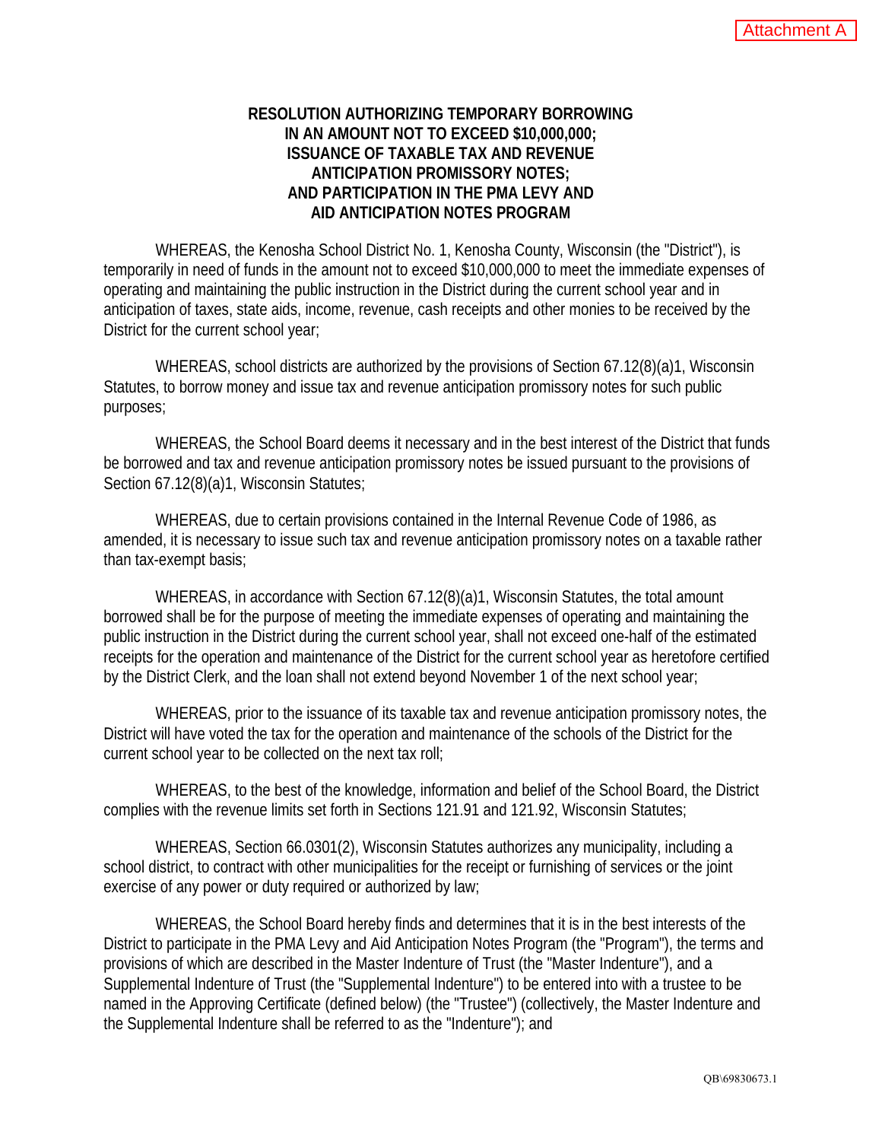### **RESOLUTION AUTHORIZING TEMPORARY BORROWING IN AN AMOUNT NOT TO EXCEED \$10,000,000; ISSUANCE OF TAXABLE TAX AND REVENUE ANTICIPATION PROMISSORY NOTES; AND PARTICIPATION IN THE PMA LEVY AND AID ANTICIPATION NOTES PROGRAM**

WHEREAS, the Kenosha School District No. 1, Kenosha County, Wisconsin (the "District"), is temporarily in need of funds in the amount not to exceed \$10,000,000 to meet the immediate expenses of operating and maintaining the public instruction in the District during the current school year and in anticipation of taxes, state aids, income, revenue, cash receipts and other monies to be received by the District for the current school year;

WHEREAS, school districts are authorized by the provisions of Section 67.12(8)(a)1, Wisconsin Statutes, to borrow money and issue tax and revenue anticipation promissory notes for such public purposes;

WHEREAS, the School Board deems it necessary and in the best interest of the District that funds be borrowed and tax and revenue anticipation promissory notes be issued pursuant to the provisions of Section 67.12(8)(a)1, Wisconsin Statutes;

WHEREAS, due to certain provisions contained in the Internal Revenue Code of 1986, as amended, it is necessary to issue such tax and revenue anticipation promissory notes on a taxable rather than tax-exempt basis;

WHEREAS, in accordance with Section 67.12(8)(a)1, Wisconsin Statutes, the total amount borrowed shall be for the purpose of meeting the immediate expenses of operating and maintaining the public instruction in the District during the current school year, shall not exceed one-half of the estimated receipts for the operation and maintenance of the District for the current school year as heretofore certified by the District Clerk, and the loan shall not extend beyond November 1 of the next school year;

WHEREAS, prior to the issuance of its taxable tax and revenue anticipation promissory notes, the District will have voted the tax for the operation and maintenance of the schools of the District for the current school year to be collected on the next tax roll;

WHEREAS, to the best of the knowledge, information and belief of the School Board, the District complies with the revenue limits set forth in Sections 121.91 and 121.92, Wisconsin Statutes;

WHEREAS, Section 66.0301(2), Wisconsin Statutes authorizes any municipality, including a school district, to contract with other municipalities for the receipt or furnishing of services or the joint exercise of any power or duty required or authorized by law;

WHEREAS, the School Board hereby finds and determines that it is in the best interests of the District to participate in the PMA Levy and Aid Anticipation Notes Program (the "Program"), the terms and provisions of which are described in the Master Indenture of Trust (the "Master Indenture"), and a Supplemental Indenture of Trust (the "Supplemental Indenture") to be entered into with a trustee to be named in the Approving Certificate (defined below) (the "Trustee") (collectively, the Master Indenture and the Supplemental Indenture shall be referred to as the "Indenture"); and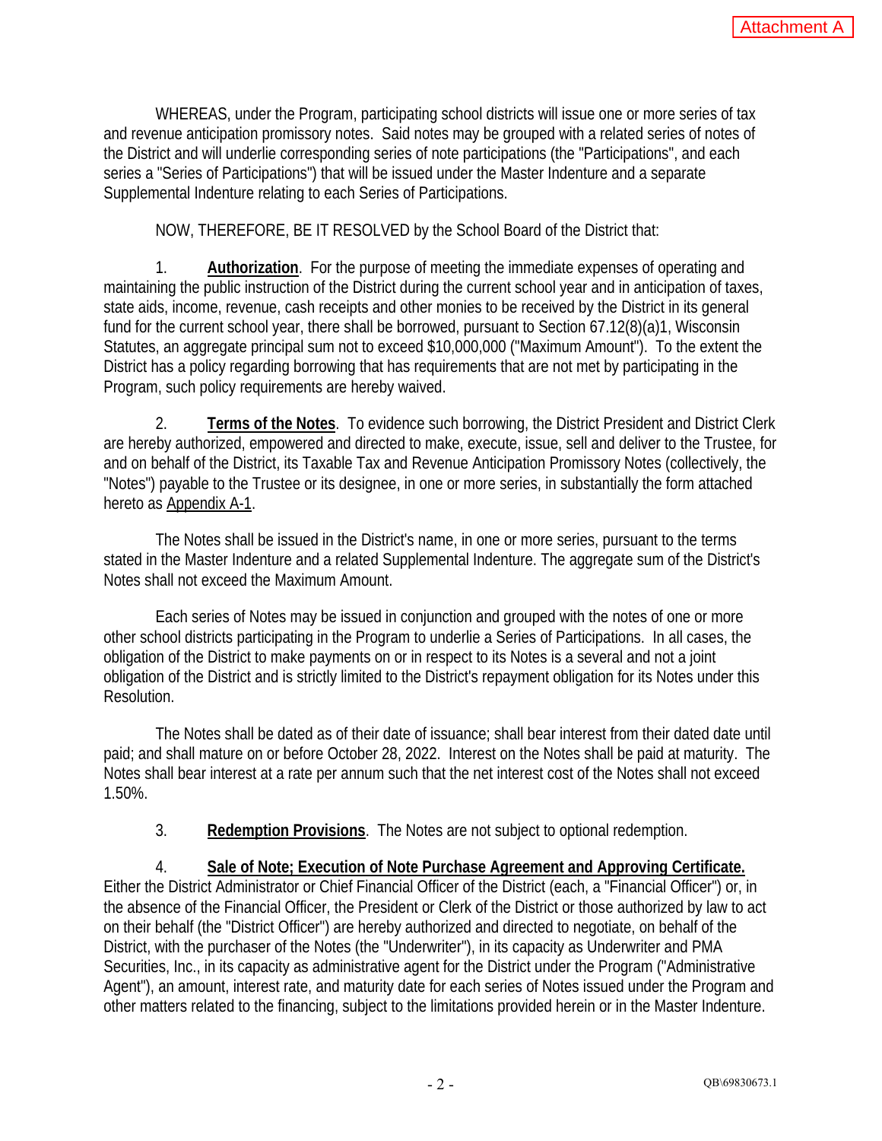WHEREAS, under the Program, participating school districts will issue one or more series of tax and revenue anticipation promissory notes. Said notes may be grouped with a related series of notes of the District and will underlie corresponding series of note participations (the "Participations", and each series a "Series of Participations") that will be issued under the Master Indenture and a separate Supplemental Indenture relating to each Series of Participations.

NOW, THEREFORE, BE IT RESOLVED by the School Board of the District that:

1. **Authorization**. For the purpose of meeting the immediate expenses of operating and maintaining the public instruction of the District during the current school year and in anticipation of taxes, state aids, income, revenue, cash receipts and other monies to be received by the District in its general fund for the current school year, there shall be borrowed, pursuant to Section 67.12(8)(a)1, Wisconsin Statutes, an aggregate principal sum not to exceed \$10,000,000 ("Maximum Amount"). To the extent the District has a policy regarding borrowing that has requirements that are not met by participating in the Program, such policy requirements are hereby waived.

2. **Terms of the Notes**. To evidence such borrowing, the District President and District Clerk are hereby authorized, empowered and directed to make, execute, issue, sell and deliver to the Trustee, for and on behalf of the District, its Taxable Tax and Revenue Anticipation Promissory Notes (collectively, the "Notes") payable to the Trustee or its designee, in one or more series, in substantially the form attached hereto as Appendix A-1.

The Notes shall be issued in the District's name, in one or more series, pursuant to the terms stated in the Master Indenture and a related Supplemental Indenture. The aggregate sum of the District's Notes shall not exceed the Maximum Amount.

Each series of Notes may be issued in conjunction and grouped with the notes of one or more other school districts participating in the Program to underlie a Series of Participations. In all cases, the obligation of the District to make payments on or in respect to its Notes is a several and not a joint obligation of the District and is strictly limited to the District's repayment obligation for its Notes under this Resolution.

The Notes shall be dated as of their date of issuance; shall bear interest from their dated date until paid; and shall mature on or before October 28, 2022. Interest on the Notes shall be paid at maturity. The Notes shall bear interest at a rate per annum such that the net interest cost of the Notes shall not exceed 1.50%.

3. **Redemption Provisions**. The Notes are not subject to optional redemption.

4. **Sale of Note; Execution of Note Purchase Agreement and Approving Certificate.**  Either the District Administrator or Chief Financial Officer of the District (each, a "Financial Officer") or, in the absence of the Financial Officer, the President or Clerk of the District or those authorized by law to act on their behalf (the "District Officer") are hereby authorized and directed to negotiate, on behalf of the District, with the purchaser of the Notes (the "Underwriter"), in its capacity as Underwriter and PMA Securities, Inc., in its capacity as administrative agent for the District under the Program ("Administrative Agent"), an amount, interest rate, and maturity date for each series of Notes issued under the Program and other matters related to the financing, subject to the limitations provided herein or in the Master Indenture.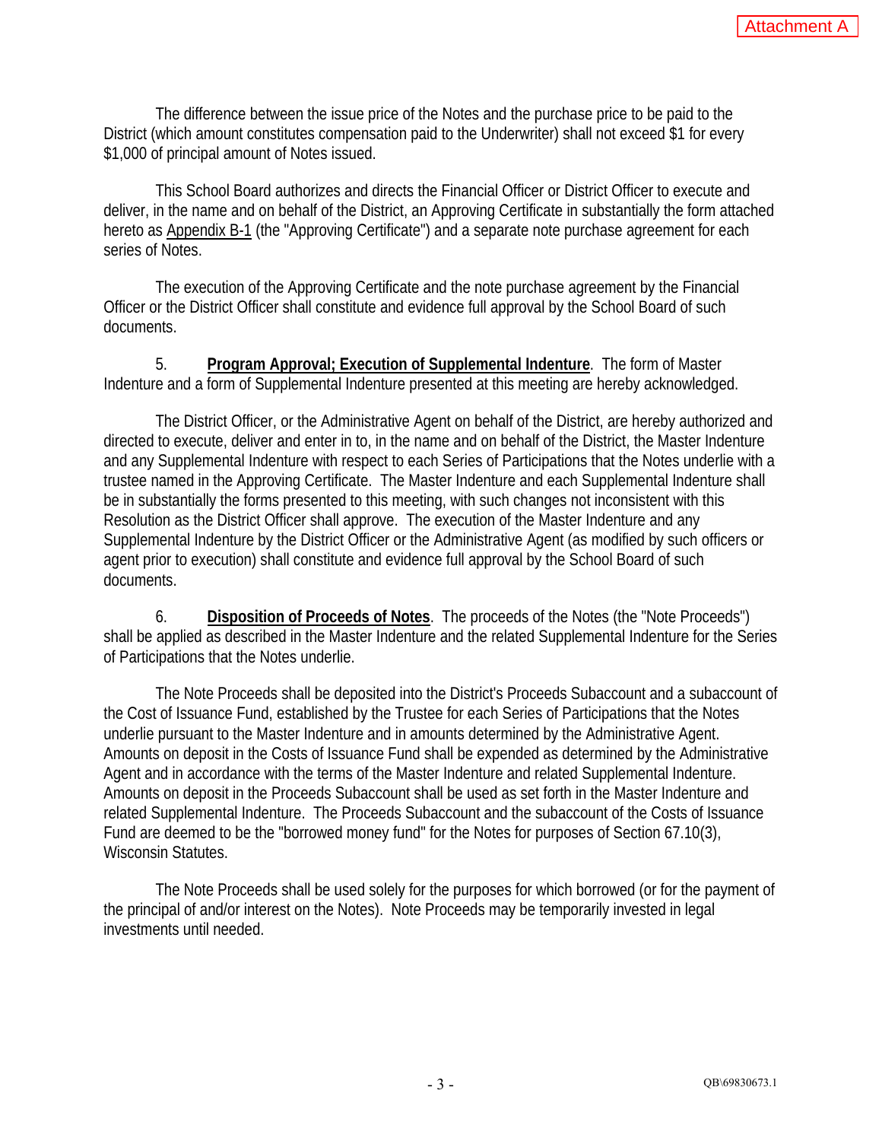The difference between the issue price of the Notes and the purchase price to be paid to the District (which amount constitutes compensation paid to the Underwriter) shall not exceed \$1 for every \$1,000 of principal amount of Notes issued.

This School Board authorizes and directs the Financial Officer or District Officer to execute and deliver, in the name and on behalf of the District, an Approving Certificate in substantially the form attached hereto as Appendix B-1 (the "Approving Certificate") and a separate note purchase agreement for each series of Notes.

The execution of the Approving Certificate and the note purchase agreement by the Financial Officer or the District Officer shall constitute and evidence full approval by the School Board of such documents.

5. **Program Approval; Execution of Supplemental Indenture**. The form of Master Indenture and a form of Supplemental Indenture presented at this meeting are hereby acknowledged.

The District Officer, or the Administrative Agent on behalf of the District, are hereby authorized and directed to execute, deliver and enter in to, in the name and on behalf of the District, the Master Indenture and any Supplemental Indenture with respect to each Series of Participations that the Notes underlie with a trustee named in the Approving Certificate. The Master Indenture and each Supplemental Indenture shall be in substantially the forms presented to this meeting, with such changes not inconsistent with this Resolution as the District Officer shall approve. The execution of the Master Indenture and any Supplemental Indenture by the District Officer or the Administrative Agent (as modified by such officers or agent prior to execution) shall constitute and evidence full approval by the School Board of such documents.

6. **Disposition of Proceeds of Notes**. The proceeds of the Notes (the "Note Proceeds") shall be applied as described in the Master Indenture and the related Supplemental Indenture for the Series of Participations that the Notes underlie.

The Note Proceeds shall be deposited into the District's Proceeds Subaccount and a subaccount of the Cost of Issuance Fund, established by the Trustee for each Series of Participations that the Notes underlie pursuant to the Master Indenture and in amounts determined by the Administrative Agent. Amounts on deposit in the Costs of Issuance Fund shall be expended as determined by the Administrative Agent and in accordance with the terms of the Master Indenture and related Supplemental Indenture. Amounts on deposit in the Proceeds Subaccount shall be used as set forth in the Master Indenture and related Supplemental Indenture. The Proceeds Subaccount and the subaccount of the Costs of Issuance Fund are deemed to be the "borrowed money fund" for the Notes for purposes of Section 67.10(3), Wisconsin Statutes.

The Note Proceeds shall be used solely for the purposes for which borrowed (or for the payment of the principal of and/or interest on the Notes). Note Proceeds may be temporarily invested in legal investments until needed.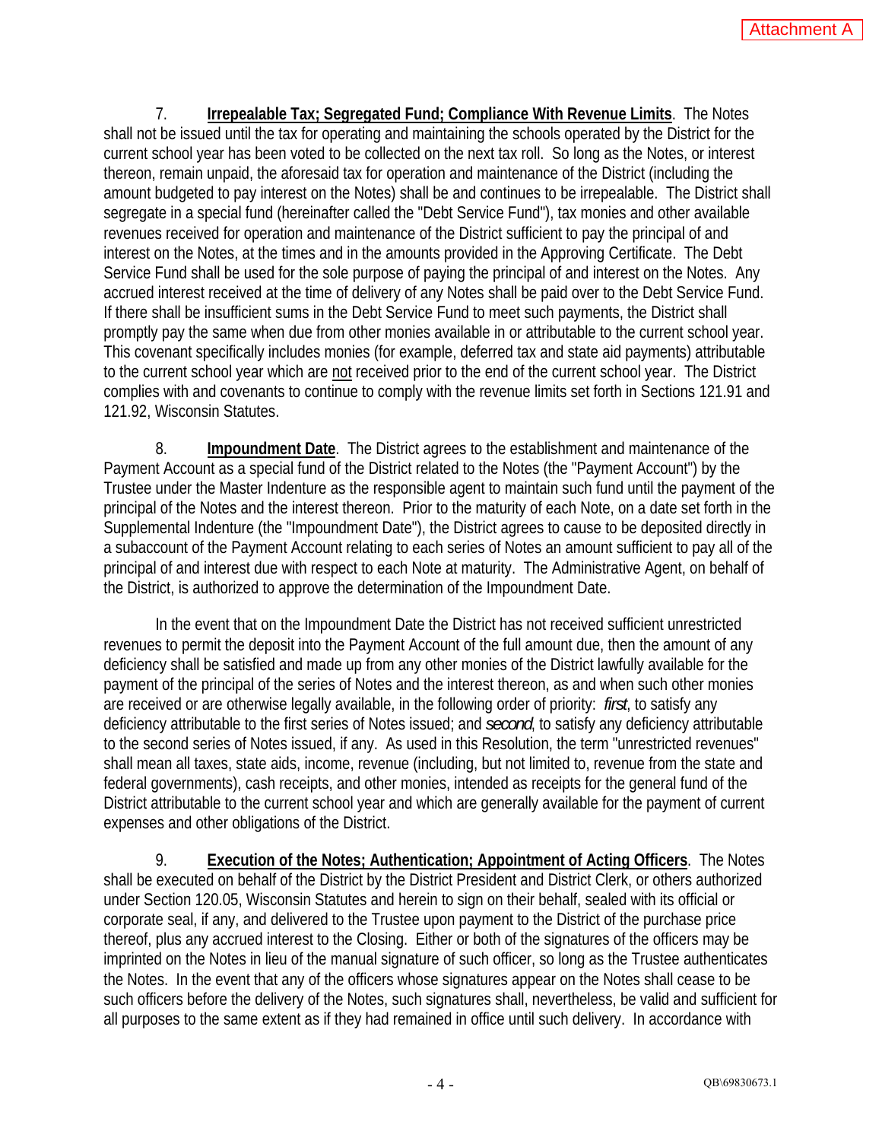7. **Irrepealable Tax; Segregated Fund; Compliance With Revenue Limits**. The Notes shall not be issued until the tax for operating and maintaining the schools operated by the District for the current school year has been voted to be collected on the next tax roll. So long as the Notes, or interest thereon, remain unpaid, the aforesaid tax for operation and maintenance of the District (including the amount budgeted to pay interest on the Notes) shall be and continues to be irrepealable. The District shall segregate in a special fund (hereinafter called the "Debt Service Fund"), tax monies and other available revenues received for operation and maintenance of the District sufficient to pay the principal of and interest on the Notes, at the times and in the amounts provided in the Approving Certificate. The Debt Service Fund shall be used for the sole purpose of paying the principal of and interest on the Notes. Any accrued interest received at the time of delivery of any Notes shall be paid over to the Debt Service Fund. If there shall be insufficient sums in the Debt Service Fund to meet such payments, the District shall promptly pay the same when due from other monies available in or attributable to the current school year. This covenant specifically includes monies (for example, deferred tax and state aid payments) attributable to the current school year which are not received prior to the end of the current school year. The District complies with and covenants to continue to comply with the revenue limits set forth in Sections 121.91 and 121.92, Wisconsin Statutes.

8. **Impoundment Date**. The District agrees to the establishment and maintenance of the Payment Account as a special fund of the District related to the Notes (the "Payment Account") by the Trustee under the Master Indenture as the responsible agent to maintain such fund until the payment of the principal of the Notes and the interest thereon. Prior to the maturity of each Note, on a date set forth in the Supplemental Indenture (the "Impoundment Date"), the District agrees to cause to be deposited directly in a subaccount of the Payment Account relating to each series of Notes an amount sufficient to pay all of the principal of and interest due with respect to each Note at maturity. The Administrative Agent, on behalf of the District, is authorized to approve the determination of the Impoundment Date.

In the event that on the Impoundment Date the District has not received sufficient unrestricted revenues to permit the deposit into the Payment Account of the full amount due, then the amount of any deficiency shall be satisfied and made up from any other monies of the District lawfully available for the payment of the principal of the series of Notes and the interest thereon, as and when such other monies are received or are otherwise legally available, in the following order of priority: *first*, to satisfy any deficiency attributable to the first series of Notes issued; and *second*, to satisfy any deficiency attributable to the second series of Notes issued, if any. As used in this Resolution, the term "unrestricted revenues" shall mean all taxes, state aids, income, revenue (including, but not limited to, revenue from the state and federal governments), cash receipts, and other monies, intended as receipts for the general fund of the District attributable to the current school year and which are generally available for the payment of current expenses and other obligations of the District.

9. **Execution of the Notes; Authentication; Appointment of Acting Officers**. The Notes shall be executed on behalf of the District by the District President and District Clerk, or others authorized under Section 120.05, Wisconsin Statutes and herein to sign on their behalf, sealed with its official or corporate seal, if any, and delivered to the Trustee upon payment to the District of the purchase price thereof, plus any accrued interest to the Closing. Either or both of the signatures of the officers may be imprinted on the Notes in lieu of the manual signature of such officer, so long as the Trustee authenticates the Notes. In the event that any of the officers whose signatures appear on the Notes shall cease to be such officers before the delivery of the Notes, such signatures shall, nevertheless, be valid and sufficient for all purposes to the same extent as if they had remained in office until such delivery. In accordance with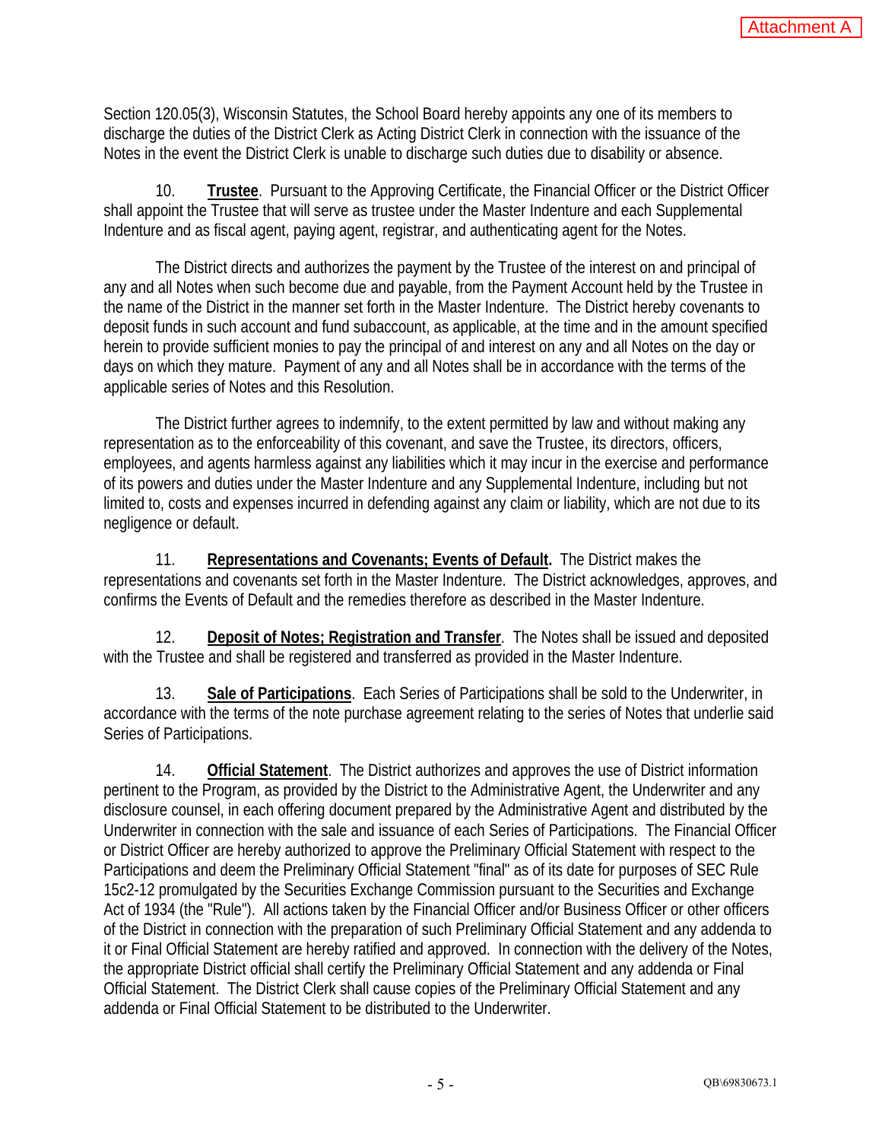Section 120.05(3), Wisconsin Statutes, the School Board hereby appoints any one of its members to discharge the duties of the District Clerk as Acting District Clerk in connection with the issuance of the Notes in the event the District Clerk is unable to discharge such duties due to disability or absence.

10. **Trustee**. Pursuant to the Approving Certificate, the Financial Officer or the District Officer shall appoint the Trustee that will serve as trustee under the Master Indenture and each Supplemental Indenture and as fiscal agent, paying agent, registrar, and authenticating agent for the Notes.

The District directs and authorizes the payment by the Trustee of the interest on and principal of any and all Notes when such become due and payable, from the Payment Account held by the Trustee in the name of the District in the manner set forth in the Master Indenture. The District hereby covenants to deposit funds in such account and fund subaccount, as applicable, at the time and in the amount specified herein to provide sufficient monies to pay the principal of and interest on any and all Notes on the day or days on which they mature. Payment of any and all Notes shall be in accordance with the terms of the applicable series of Notes and this Resolution.

The District further agrees to indemnify, to the extent permitted by law and without making any representation as to the enforceability of this covenant, and save the Trustee, its directors, officers, employees, and agents harmless against any liabilities which it may incur in the exercise and performance of its powers and duties under the Master Indenture and any Supplemental Indenture, including but not limited to, costs and expenses incurred in defending against any claim or liability, which are not due to its negligence or default.

11. **Representations and Covenants; Events of Default.** The District makes the representations and covenants set forth in the Master Indenture. The District acknowledges, approves, and confirms the Events of Default and the remedies therefore as described in the Master Indenture.

12. **Deposit of Notes; Registration and Transfer**. The Notes shall be issued and deposited with the Trustee and shall be registered and transferred as provided in the Master Indenture.

13. **Sale of Participations**. Each Series of Participations shall be sold to the Underwriter, in accordance with the terms of the note purchase agreement relating to the series of Notes that underlie said Series of Participations.

14. **Official Statement**. The District authorizes and approves the use of District information pertinent to the Program, as provided by the District to the Administrative Agent, the Underwriter and any disclosure counsel, in each offering document prepared by the Administrative Agent and distributed by the Underwriter in connection with the sale and issuance of each Series of Participations. The Financial Officer or District Officer are hereby authorized to approve the Preliminary Official Statement with respect to the Participations and deem the Preliminary Official Statement "final" as of its date for purposes of SEC Rule 15c2-12 promulgated by the Securities Exchange Commission pursuant to the Securities and Exchange Act of 1934 (the "Rule"). All actions taken by the Financial Officer and/or Business Officer or other officers of the District in connection with the preparation of such Preliminary Official Statement and any addenda to it or Final Official Statement are hereby ratified and approved. In connection with the delivery of the Notes, the appropriate District official shall certify the Preliminary Official Statement and any addenda or Final Official Statement. The District Clerk shall cause copies of the Preliminary Official Statement and any addenda or Final Official Statement to be distributed to the Underwriter.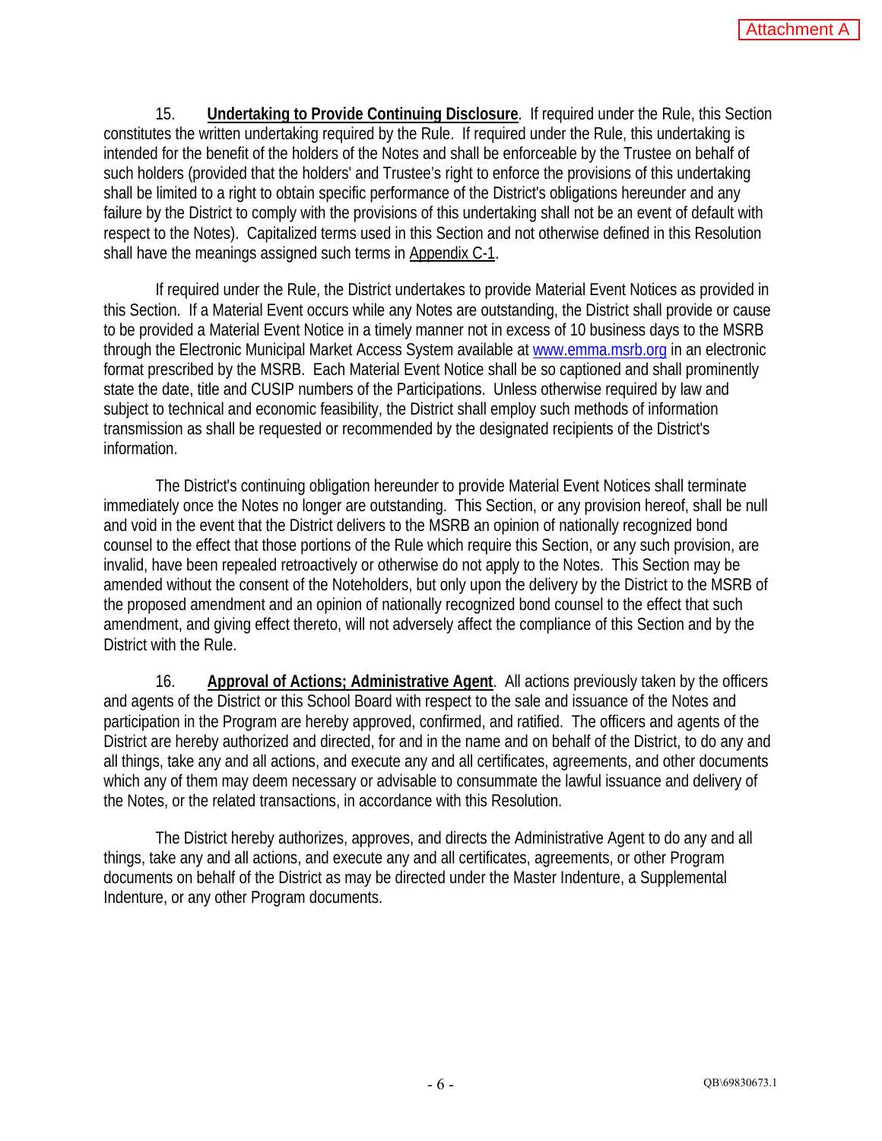15. **Undertaking to Provide Continuing Disclosure**. If required under the Rule, this Section constitutes the written undertaking required by the Rule. If required under the Rule, this undertaking is intended for the benefit of the holders of the Notes and shall be enforceable by the Trustee on behalf of such holders (provided that the holders' and Trustee's right to enforce the provisions of this undertaking shall be limited to a right to obtain specific performance of the District's obligations hereunder and any failure by the District to comply with the provisions of this undertaking shall not be an event of default with respect to the Notes). Capitalized terms used in this Section and not otherwise defined in this Resolution shall have the meanings assigned such terms in Appendix C-1.

If required under the Rule, the District undertakes to provide Material Event Notices as provided in this Section. If a Material Event occurs while any Notes are outstanding, the District shall provide or cause to be provided a Material Event Notice in a timely manner not in excess of 10 business days to the MSRB through the Electronic Municipal Market Access System available at www.emma.msrb.org in an electronic format prescribed by the MSRB. Each Material Event Notice shall be so captioned and shall prominently state the date, title and CUSIP numbers of the Participations. Unless otherwise required by law and subject to technical and economic feasibility, the District shall employ such methods of information transmission as shall be requested or recommended by the designated recipients of the District's information.

The District's continuing obligation hereunder to provide Material Event Notices shall terminate immediately once the Notes no longer are outstanding. This Section, or any provision hereof, shall be null and void in the event that the District delivers to the MSRB an opinion of nationally recognized bond counsel to the effect that those portions of the Rule which require this Section, or any such provision, are invalid, have been repealed retroactively or otherwise do not apply to the Notes. This Section may be amended without the consent of the Noteholders, but only upon the delivery by the District to the MSRB of the proposed amendment and an opinion of nationally recognized bond counsel to the effect that such amendment, and giving effect thereto, will not adversely affect the compliance of this Section and by the District with the Rule.

16. **Approval of Actions; Administrative Agent**. All actions previously taken by the officers and agents of the District or this School Board with respect to the sale and issuance of the Notes and participation in the Program are hereby approved, confirmed, and ratified. The officers and agents of the District are hereby authorized and directed, for and in the name and on behalf of the District, to do any and all things, take any and all actions, and execute any and all certificates, agreements, and other documents which any of them may deem necessary or advisable to consummate the lawful issuance and delivery of the Notes, or the related transactions, in accordance with this Resolution.

The District hereby authorizes, approves, and directs the Administrative Agent to do any and all things, take any and all actions, and execute any and all certificates, agreements, or other Program documents on behalf of the District as may be directed under the Master Indenture, a Supplemental Indenture, or any other Program documents.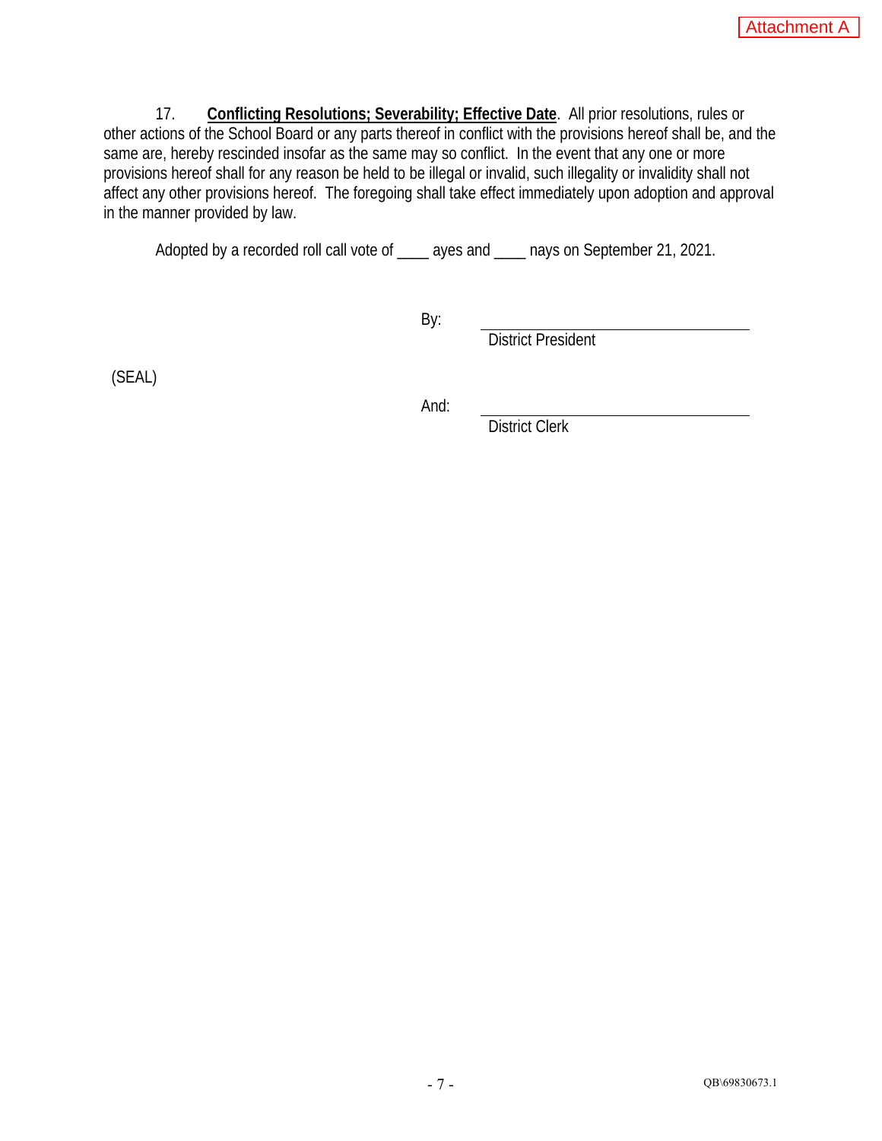17. **Conflicting Resolutions; Severability; Effective Date**. All prior resolutions, rules or other actions of the School Board or any parts thereof in conflict with the provisions hereof shall be, and the same are, hereby rescinded insofar as the same may so conflict. In the event that any one or more provisions hereof shall for any reason be held to be illegal or invalid, such illegality or invalidity shall not affect any other provisions hereof. The foregoing shall take effect immediately upon adoption and approval in the manner provided by law.

Adopted by a recorded roll call vote of \_\_\_\_ ayes and \_\_\_\_ nays on September 21, 2021.

By:

District President

(SEAL)

And:

District Clerk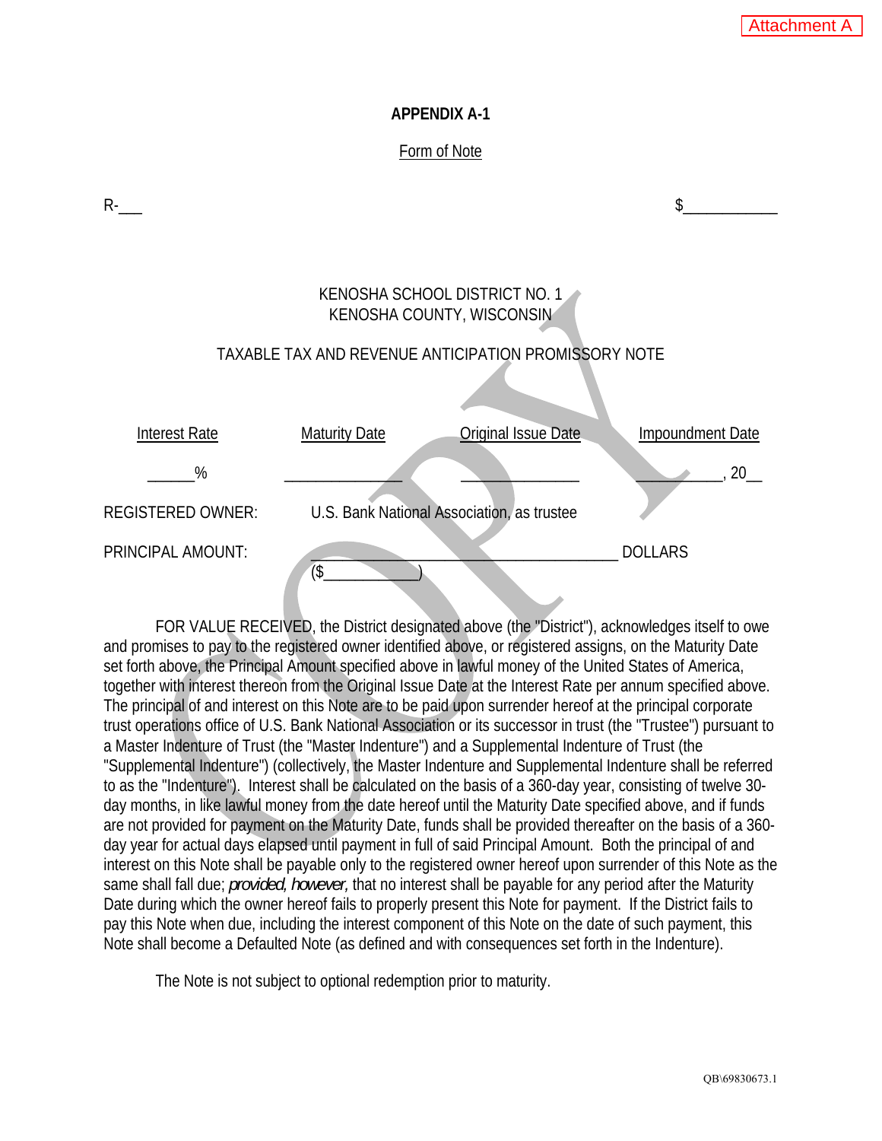### **APPENDIX A-1**

### Form of Note

| R-                       |                      |                                                            |                  |
|--------------------------|----------------------|------------------------------------------------------------|------------------|
|                          |                      |                                                            |                  |
|                          |                      | KENOSHA SCHOOL DISTRICT NO. 1<br>KENOSHA COUNTY, WISCONSIN |                  |
|                          |                      | TAXABLE TAX AND REVENUE ANTICIPATION PROMISSORY NOTE       |                  |
|                          |                      |                                                            |                  |
| <b>Interest Rate</b>     | <b>Maturity Date</b> | Original Issue Date                                        | Impoundment Date |
| %                        |                      |                                                            | 20               |
| <b>REGISTERED OWNER:</b> |                      | U.S. Bank National Association, as trustee                 |                  |
| PRINCIPAL AMOUNT:        | $($ \$               |                                                            | <b>DOLLARS</b>   |

FOR VALUE RECEIVED, the District designated above (the "District"), acknowledges itself to owe and promises to pay to the registered owner identified above, or registered assigns, on the Maturity Date set forth above, the Principal Amount specified above in lawful money of the United States of America, together with interest thereon from the Original Issue Date at the Interest Rate per annum specified above. The principal of and interest on this Note are to be paid upon surrender hereof at the principal corporate trust operations office of U.S. Bank National Association or its successor in trust (the "Trustee") pursuant to a Master Indenture of Trust (the "Master Indenture") and a Supplemental Indenture of Trust (the "Supplemental Indenture") (collectively, the Master Indenture and Supplemental Indenture shall be referred to as the "Indenture"). Interest shall be calculated on the basis of a 360-day year, consisting of twelve 30 day months, in like lawful money from the date hereof until the Maturity Date specified above, and if funds are not provided for payment on the Maturity Date, funds shall be provided thereafter on the basis of a 360 day year for actual days elapsed until payment in full of said Principal Amount. Both the principal of and interest on this Note shall be payable only to the registered owner hereof upon surrender of this Note as the same shall fall due; *provided, however,* that no interest shall be payable for any period after the Maturity Date during which the owner hereof fails to properly present this Note for payment. If the District fails to pay this Note when due, including the interest component of this Note on the date of such payment, this Note shall become a Defaulted Note (as defined and with consequences set forth in the Indenture).

The Note is not subject to optional redemption prior to maturity.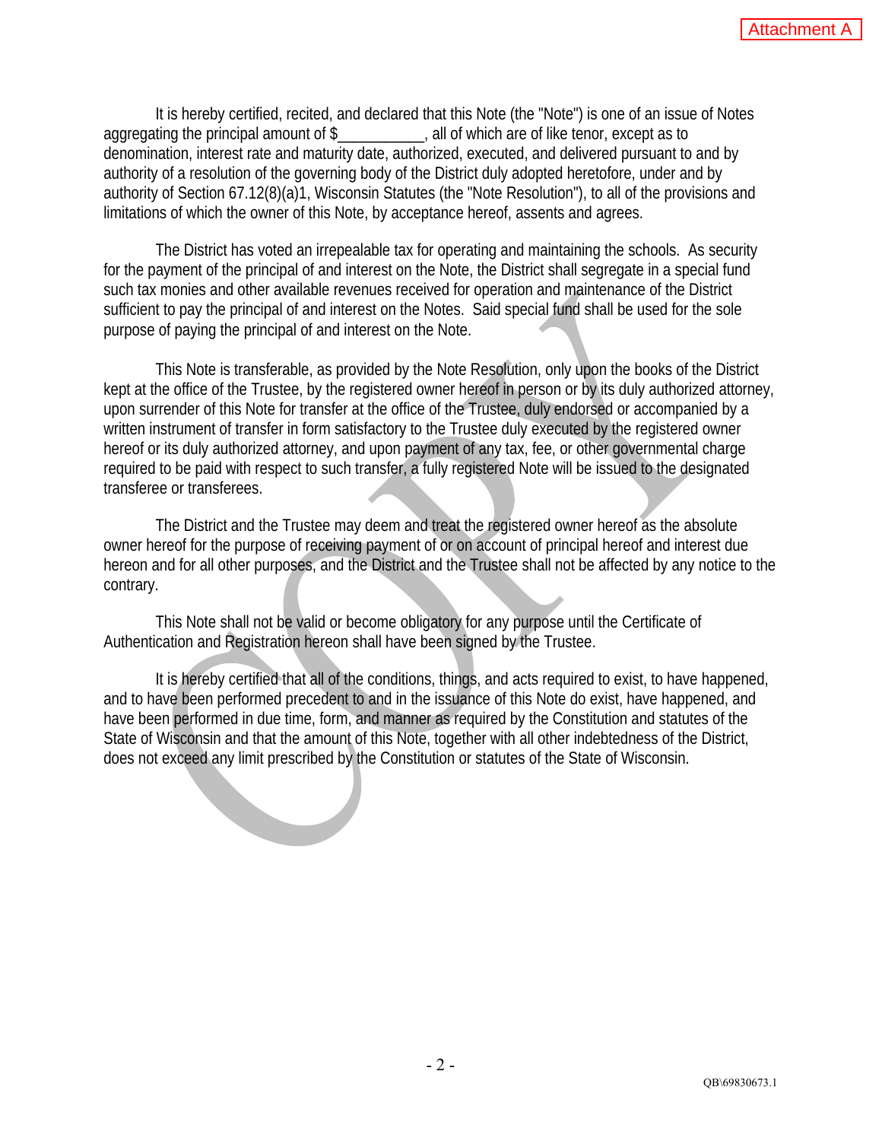It is hereby certified, recited, and declared that this Note (the "Note") is one of an issue of Notes aggregating the principal amount of \$\_\_\_\_\_\_\_\_\_\_, all of which are of like tenor, except as to denomination, interest rate and maturity date, authorized, executed, and delivered pursuant to and by authority of a resolution of the governing body of the District duly adopted heretofore, under and by authority of Section 67.12(8)(a)1, Wisconsin Statutes (the "Note Resolution"), to all of the provisions and limitations of which the owner of this Note, by acceptance hereof, assents and agrees.

The District has voted an irrepealable tax for operating and maintaining the schools. As security for the payment of the principal of and interest on the Note, the District shall segregate in a special fund such tax monies and other available revenues received for operation and maintenance of the District sufficient to pay the principal of and interest on the Notes. Said special fund shall be used for the sole purpose of paying the principal of and interest on the Note.

This Note is transferable, as provided by the Note Resolution, only upon the books of the District kept at the office of the Trustee, by the registered owner hereof in person or by its duly authorized attorney, upon surrender of this Note for transfer at the office of the Trustee, duly endorsed or accompanied by a written instrument of transfer in form satisfactory to the Trustee duly executed by the registered owner hereof or its duly authorized attorney, and upon payment of any tax, fee, or other governmental charge required to be paid with respect to such transfer, a fully registered Note will be issued to the designated transferee or transferees.

The District and the Trustee may deem and treat the registered owner hereof as the absolute owner hereof for the purpose of receiving payment of or on account of principal hereof and interest due hereon and for all other purposes, and the District and the Trustee shall not be affected by any notice to the contrary.

This Note shall not be valid or become obligatory for any purpose until the Certificate of Authentication and Registration hereon shall have been signed by the Trustee.

It is hereby certified that all of the conditions, things, and acts required to exist, to have happened, and to have been performed precedent to and in the issuance of this Note do exist, have happened, and have been performed in due time, form, and manner as required by the Constitution and statutes of the State of Wisconsin and that the amount of this Note, together with all other indebtedness of the District, does not exceed any limit prescribed by the Constitution or statutes of the State of Wisconsin.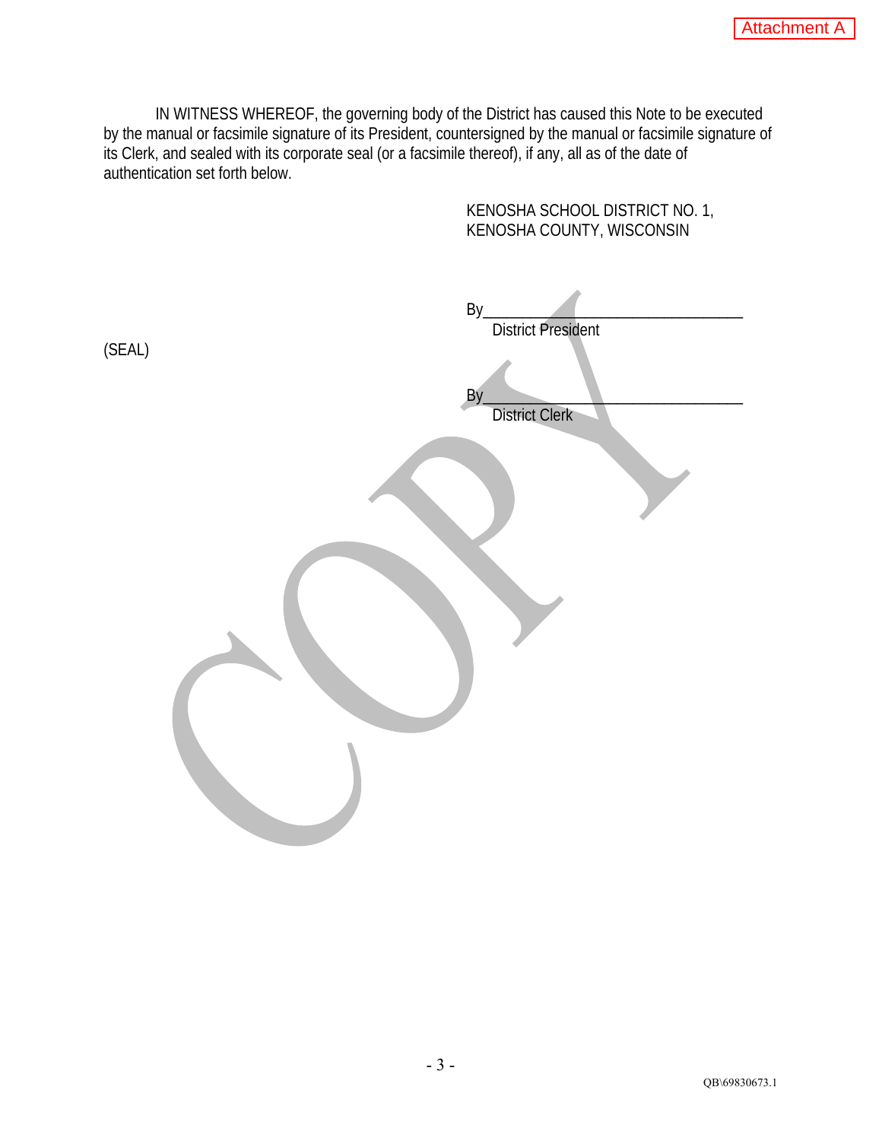IN WITNESS WHEREOF, the governing body of the District has caused this Note to be executed by the manual or facsimile signature of its President, countersigned by the manual or facsimile signature of its Clerk, and sealed with its corporate seal (or a facsimile thereof), if any, all as of the date of authentication set forth below.

KENOSHA SCHOOL DISTRICT NO. 1,

|        | KENOSHA COUNTY, WISCONSIN                                |
|--------|----------------------------------------------------------|
| (SEAL) | By_<br><b>District President</b><br>By<br>District Clerk |
|        |                                                          |
|        |                                                          |
|        |                                                          |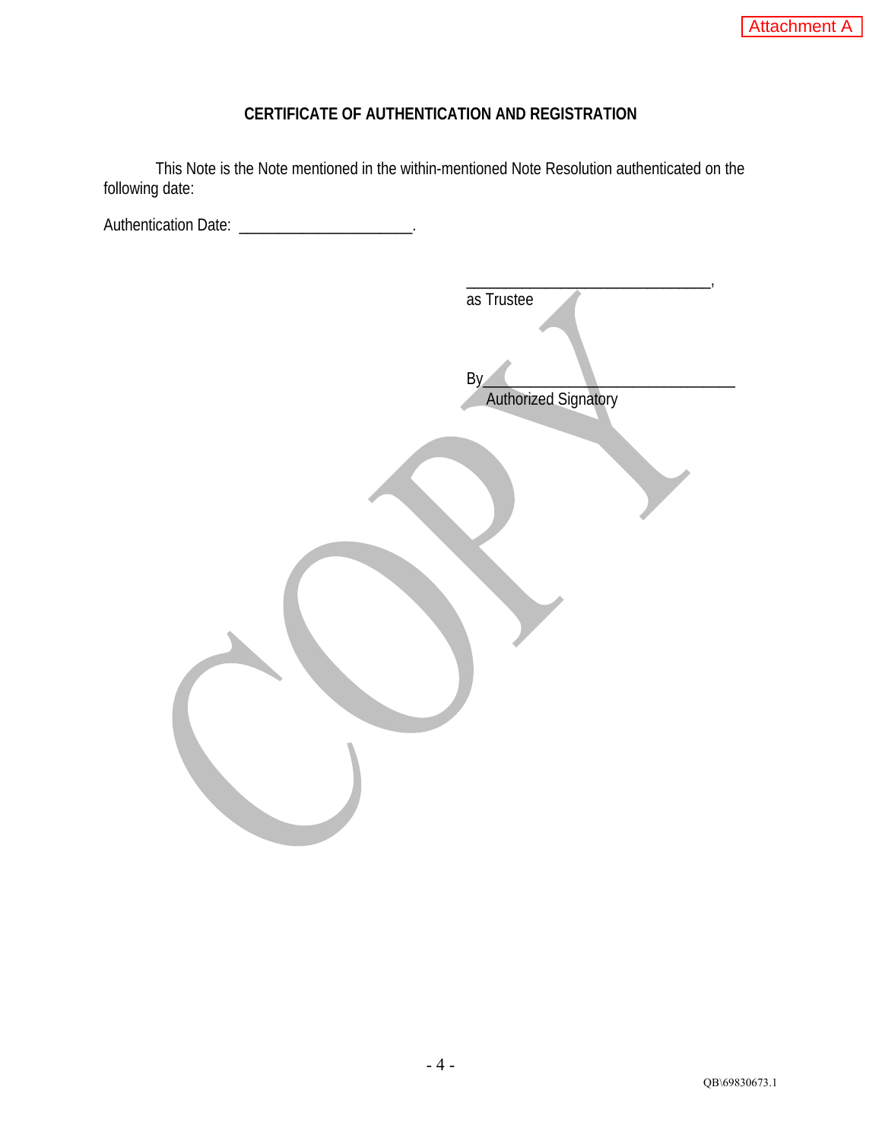# **CERTIFICATE OF AUTHENTICATION AND REGISTRATION**

This Note is the Note mentioned in the within-mentioned Note Resolution authenticated on the following date:

Authentication Date: \_\_\_\_\_\_\_\_\_\_\_\_\_\_\_\_\_\_\_\_\_\_\_\_.

| as Trustee                         |
|------------------------------------|
| By.<br><b>Authorized Signatory</b> |
|                                    |
|                                    |
|                                    |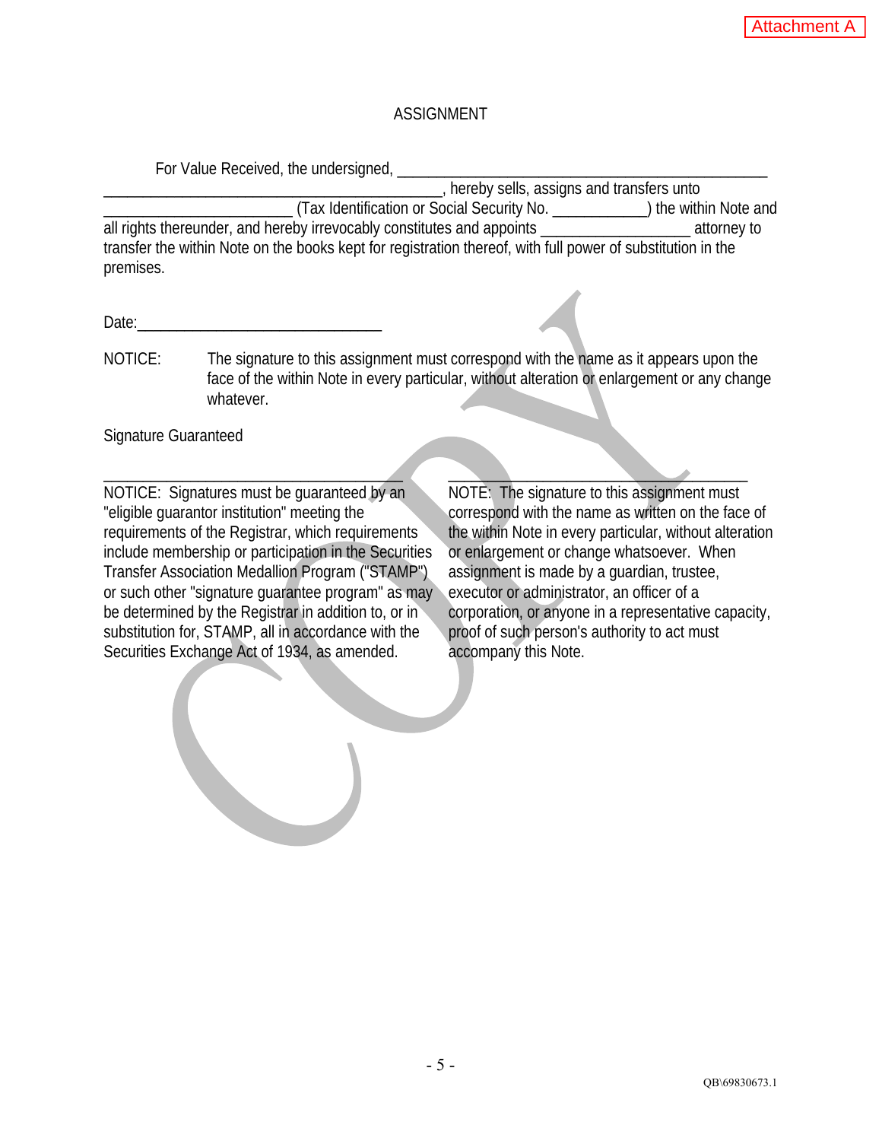## ASSIGNMENT

For Value Received, the undersigned,

\_\_\_\_\_\_\_\_\_\_\_\_\_\_\_\_\_\_\_\_\_\_\_\_\_\_\_\_\_\_\_\_\_\_\_\_\_\_\_\_\_\_\_, hereby sells, assigns and transfers unto \_\_\_\_\_\_\_\_\_\_\_\_\_\_\_\_\_\_\_\_\_\_\_\_ (Tax Identification or Social Security No. \_\_\_\_\_\_\_\_\_\_\_\_) the within Note and all rights thereunder, and hereby irrevocably constitutes and appoints \_\_\_\_\_\_\_\_\_\_\_\_\_\_\_\_\_\_\_ attorney to transfer the within Note on the books kept for registration thereof, with full power of substitution in the premises.

Date:

NOTICE: The signature to this assignment must correspond with the name as it appears upon the face of the within Note in every particular, without alteration or enlargement or any change whatever.

Signature Guaranteed

\_\_\_\_\_\_\_\_\_\_\_\_\_\_\_\_\_\_\_\_\_\_\_\_\_\_\_\_\_\_\_\_\_\_\_\_\_\_ \_\_\_\_\_\_\_\_\_\_\_\_\_\_\_\_\_\_\_\_\_\_\_\_\_\_\_\_\_\_\_\_\_\_\_\_\_\_ NOTICE: Signatures must be guaranteed by an "eligible guarantor institution" meeting the requirements of the Registrar, which requirements include membership or participation in the Securities Transfer Association Medallion Program ("STAMP") or such other "signature guarantee program" as may be determined by the Registrar in addition to, or in substitution for, STAMP, all in accordance with the Securities Exchange Act of 1934, as amended.

NOTE: The signature to this assignment must correspond with the name as written on the face of the within Note in every particular, without alteration or enlargement or change whatsoever. When assignment is made by a guardian, trustee, executor or administrator, an officer of a corporation, or anyone in a representative capacity, proof of such person's authority to act must accompany this Note.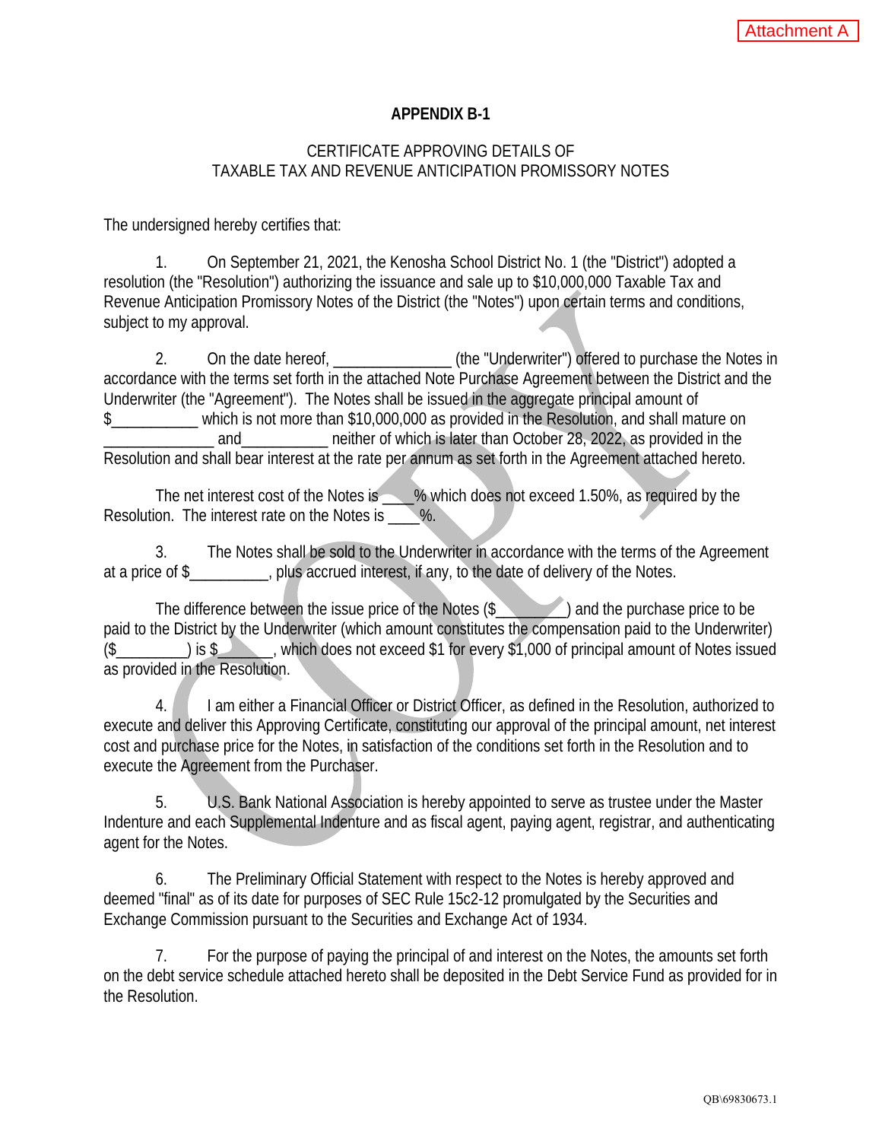### **APPENDIX B-1**

### CERTIFICATE APPROVING DETAILS OF TAXABLE TAX AND REVENUE ANTICIPATION PROMISSORY NOTES

The undersigned hereby certifies that:

1. On September 21, 2021, the Kenosha School District No. 1 (the "District") adopted a resolution (the "Resolution") authorizing the issuance and sale up to \$10,000,000 Taxable Tax and Revenue Anticipation Promissory Notes of the District (the "Notes") upon certain terms and conditions, subject to my approval.

2. On the date hereof,  $\qquad \qquad$  (the "Underwriter") offered to purchase the Notes in accordance with the terms set forth in the attached Note Purchase Agreement between the District and the Underwriter (the "Agreement"). The Notes shall be issued in the aggregate principal amount of \$\_\_\_\_\_\_\_\_\_\_\_ which is not more than \$10,000,000 as provided in the Resolution, and shall mature on and and and antither of which is later than October 28, 2022, as provided in the Resolution and shall bear interest at the rate per annum as set forth in the Agreement attached hereto.

The net interest cost of the Notes is \_\_\_\_% which does not exceed 1.50%, as required by the Resolution. The interest rate on the Notes is \, \%.

3. The Notes shall be sold to the Underwriter in accordance with the terms of the Agreement at a price of \$\_\_\_\_\_\_\_\_\_\_, plus accrued interest, if any, to the date of delivery of the Notes.

The difference between the issue price of the Notes (\$\_\_\_\_\_\_\_\_\_) and the purchase price to be paid to the District by the Underwriter (which amount constitutes the compensation paid to the Underwriter) (\$\_\_\_\_\_\_\_\_\_) is \$\_\_\_\_\_\_\_, which does not exceed \$1 for every \$1,000 of principal amount of Notes issued as provided in the Resolution.

4. I am either a Financial Officer or District Officer, as defined in the Resolution, authorized to execute and deliver this Approving Certificate, constituting our approval of the principal amount, net interest cost and purchase price for the Notes, in satisfaction of the conditions set forth in the Resolution and to execute the Agreement from the Purchaser.

5. U.S. Bank National Association is hereby appointed to serve as trustee under the Master Indenture and each Supplemental Indenture and as fiscal agent, paying agent, registrar, and authenticating agent for the Notes.

6. The Preliminary Official Statement with respect to the Notes is hereby approved and deemed "final" as of its date for purposes of SEC Rule 15c2-12 promulgated by the Securities and Exchange Commission pursuant to the Securities and Exchange Act of 1934.

7. For the purpose of paying the principal of and interest on the Notes, the amounts set forth on the debt service schedule attached hereto shall be deposited in the Debt Service Fund as provided for in the Resolution.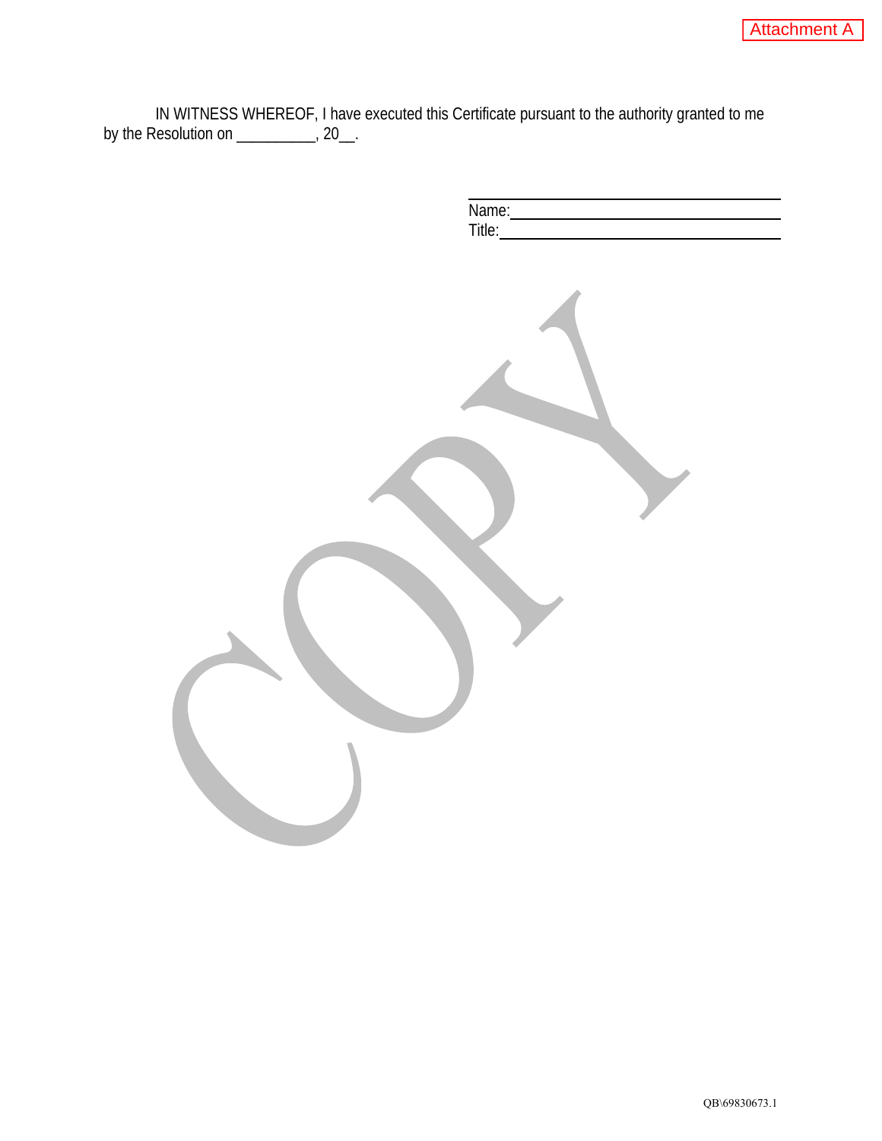IN WITNESS WHEREOF, I have executed this Certificate pursuant to the authority granted to me by the Resolution on \_\_\_\_\_\_\_\_\_\_, 20\_\_.

 $\overline{a}$ 

| Name:<br>Title: |
|-----------------|
|                 |
|                 |
|                 |
|                 |
|                 |
|                 |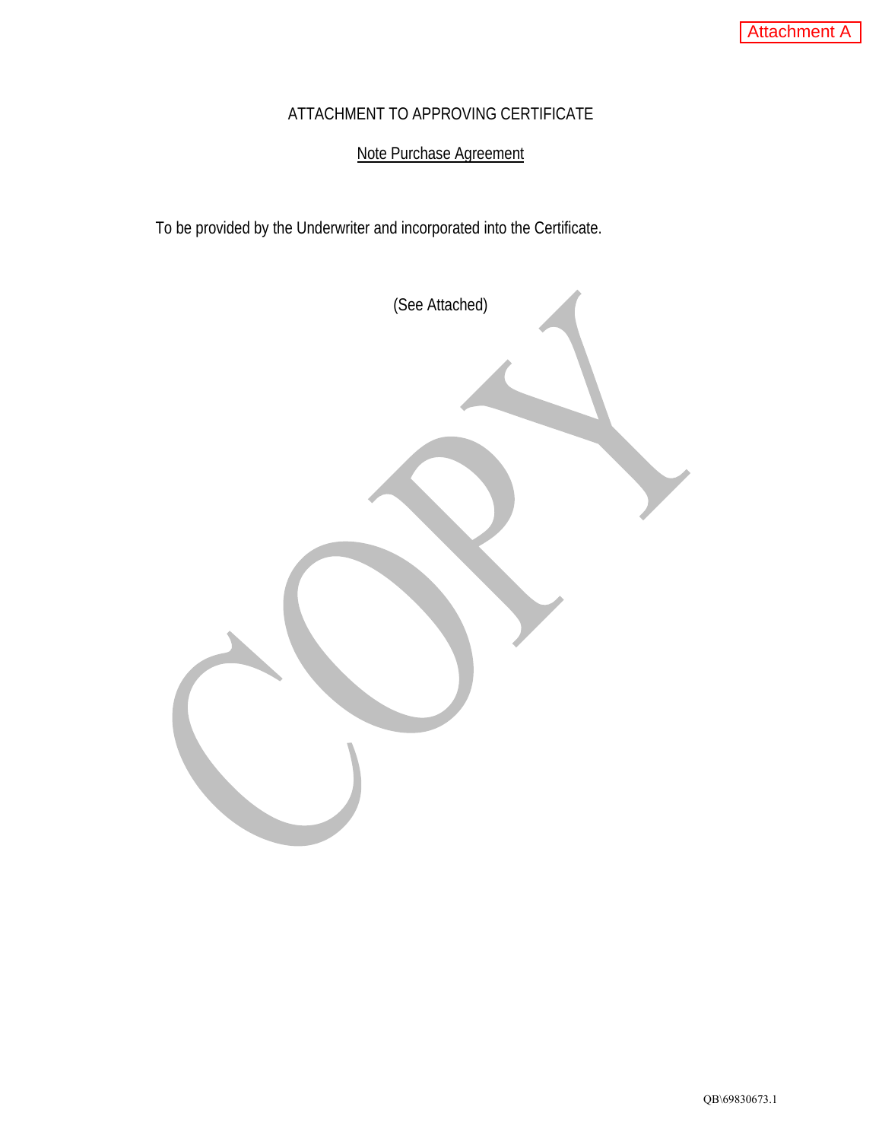## ATTACHMENT TO APPROVING CERTIFICATE

# Note Purchase Agreement

To be provided by the Underwriter and incorporated into the Certificate.

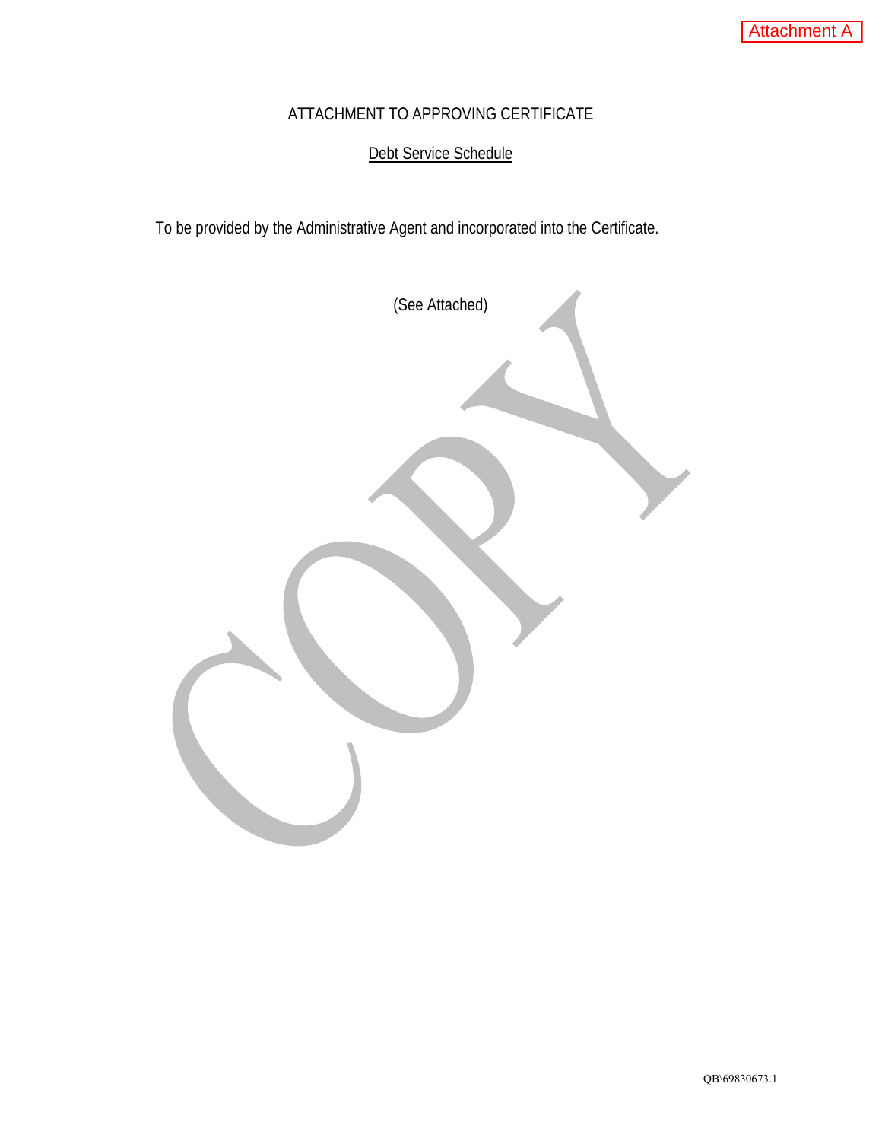# ATTACHMENT TO APPROVING CERTIFICATE

# Debt Service Schedule

To be provided by the Administrative Agent and incorporated into the Certificate.

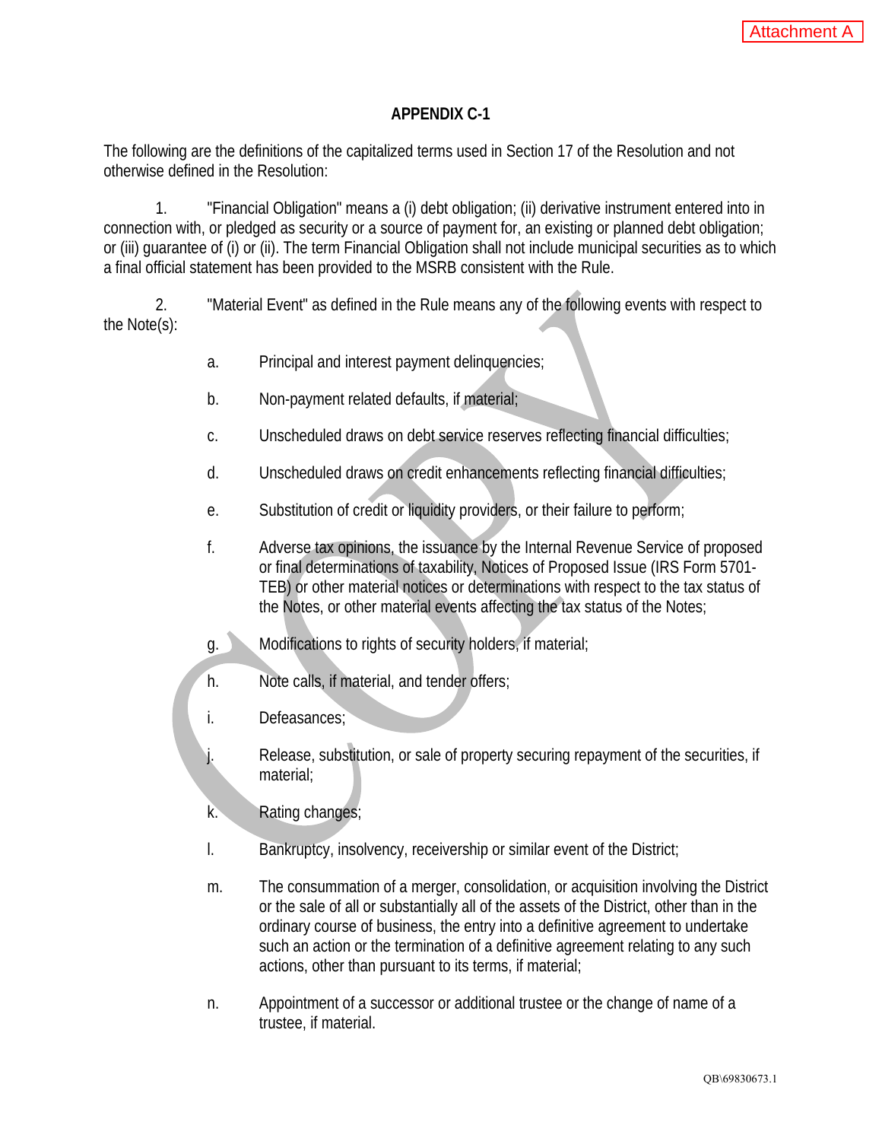### **APPENDIX C-1**

The following are the definitions of the capitalized terms used in Section 17 of the Resolution and not otherwise defined in the Resolution:

1. "Financial Obligation" means a (i) debt obligation; (ii) derivative instrument entered into in connection with, or pledged as security or a source of payment for, an existing or planned debt obligation; or (iii) guarantee of (i) or (ii). The term Financial Obligation shall not include municipal securities as to which a final official statement has been provided to the MSRB consistent with the Rule.

2. "Material Event" as defined in the Rule means any of the following events with respect to the Note(s):

- a. Principal and interest payment delinquencies;
- b. Non-payment related defaults, if material;
- c. Unscheduled draws on debt service reserves reflecting financial difficulties;
- d. Unscheduled draws on credit enhancements reflecting financial difficulties;
- e. Substitution of credit or liquidity providers, or their failure to perform;
- f. Adverse tax opinions, the issuance by the Internal Revenue Service of proposed or final determinations of taxability, Notices of Proposed Issue (IRS Form 5701- TEB) or other material notices or determinations with respect to the tax status of the Notes, or other material events affecting the tax status of the Notes;
- g. Modifications to rights of security holders, if material;
- h. Note calls, if material, and tender offers;
- i. Defeasances;
- Release, substitution, or sale of property securing repayment of the securities, if material;
- k. Rating changes;
- l. Bankruptcy, insolvency, receivership or similar event of the District;
- m. The consummation of a merger, consolidation, or acquisition involving the District or the sale of all or substantially all of the assets of the District, other than in the ordinary course of business, the entry into a definitive agreement to undertake such an action or the termination of a definitive agreement relating to any such actions, other than pursuant to its terms, if material;
- n. Appointment of a successor or additional trustee or the change of name of a trustee, if material.